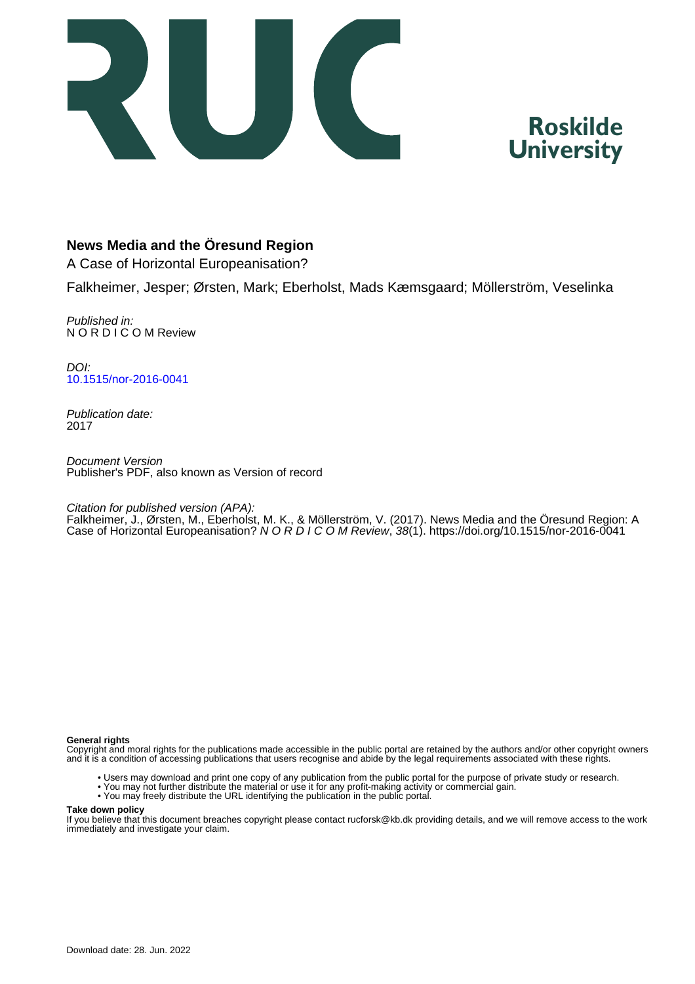



# **News Media and the Öresund Region**

A Case of Horizontal Europeanisation?

Falkheimer, Jesper; Ørsten, Mark; Eberholst, Mads Kæmsgaard; Möllerström, Veselinka

Published in: N O R D I C O M Review

DOI: [10.1515/nor-2016-0041](https://doi.org/10.1515/nor-2016-0041)

Publication date: 2017

Document Version Publisher's PDF, also known as Version of record

Citation for published version (APA):

Falkheimer, J., Ørsten, M., Eberholst, M. K., & Möllerström, V. (2017). News Media and the Öresund Region: A Case of Horizontal Europeanisation? N O R D I C O M Review, 38(1). <https://doi.org/10.1515/nor-2016-0041>

#### **General rights**

Copyright and moral rights for the publications made accessible in the public portal are retained by the authors and/or other copyright owners and it is a condition of accessing publications that users recognise and abide by the legal requirements associated with these rights.

- Users may download and print one copy of any publication from the public portal for the purpose of private study or research.
- You may not further distribute the material or use it for any profit-making activity or commercial gain.
- You may freely distribute the URL identifying the publication in the public portal.

#### **Take down policy**

If you believe that this document breaches copyright please contact rucforsk@kb.dk providing details, and we will remove access to the work immediately and investigate your claim.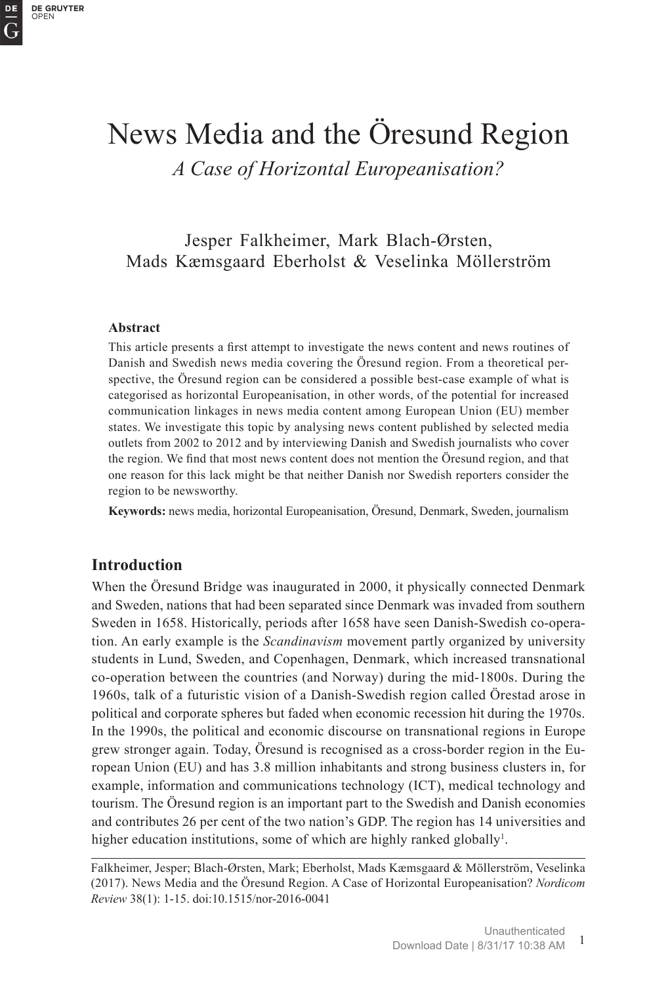**DE GRUYTER** OPEN

 $\frac{DE}{G}$ 

# News Media and the Öresund Region *A Case of Horizontal Europeanisation?*

# Jesper Falkheimer, Mark Blach-Ørsten, Mads Kæmsgaard Eberholst & Veselinka Möllerström

#### **Abstract**

This article presents a first attempt to investigate the news content and news routines of Danish and Swedish news media covering the Öresund region. From a theoretical perspective, the Öresund region can be considered a possible best-case example of what is categorised as horizontal Europeanisation, in other words, of the potential for increased communication linkages in news media content among European Union (EU) member states. We investigate this topic by analysing news content published by selected media outlets from 2002 to 2012 and by interviewing Danish and Swedish journalists who cover the region. We find that most news content does not mention the Öresund region, and that one reason for this lack might be that neither Danish nor Swedish reporters consider the region to be newsworthy.

**Keywords:** news media, horizontal Europeanisation, Öresund, Denmark, Sweden, journalism

## **Introduction**

When the Öresund Bridge was inaugurated in 2000, it physically connected Denmark and Sweden, nations that had been separated since Denmark was invaded from southern Sweden in 1658. Historically, periods after 1658 have seen Danish-Swedish co-operation. An early example is the *Scandinavism* movement partly organized by university students in Lund, Sweden, and Copenhagen, Denmark, which increased transnational co-operation between the countries (and Norway) during the mid-1800s. During the 1960s, talk of a futuristic vision of a Danish-Swedish region called Örestad arose in political and corporate spheres but faded when economic recession hit during the 1970s. In the 1990s, the political and economic discourse on transnational regions in Europe grew stronger again. Today, Öresund is recognised as a cross-border region in the European Union (EU) and has 3.8 million inhabitants and strong business clusters in, for example, information and communications technology (ICT), medical technology and tourism. The Öresund region is an important part to the Swedish and Danish economies and contributes 26 per cent of the two nation's GDP. The region has 14 universities and higher education institutions, some of which are highly ranked globally<sup>1</sup>.

Falkheimer, Jesper; Blach-Ørsten, Mark; Eberholst, Mads Kæmsgaard & Möllerström, Veselinka (2017). News Media and the Öresund Region. A Case of Horizontal Europeanisation? *Nordicom Review* 38(1): 1-15. doi:10.1515/nor-2016-0041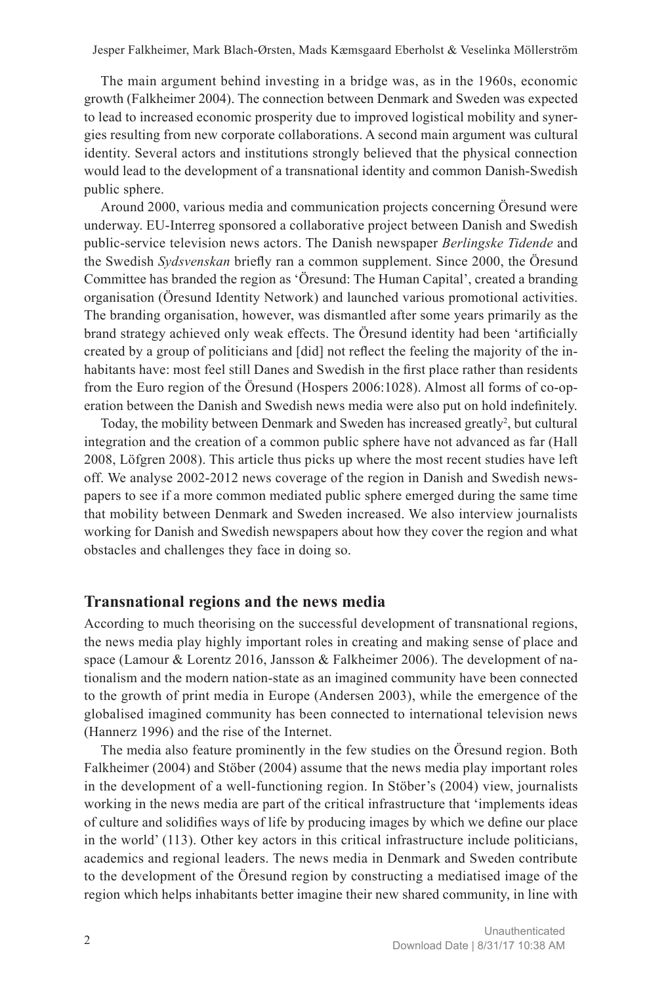The main argument behind investing in a bridge was, as in the 1960s, economic growth (Falkheimer 2004). The connection between Denmark and Sweden was expected to lead to increased economic prosperity due to improved logistical mobility and synergies resulting from new corporate collaborations. A second main argument was cultural identity. Several actors and institutions strongly believed that the physical connection would lead to the development of a transnational identity and common Danish-Swedish public sphere.

Around 2000, various media and communication projects concerning Öresund were underway. EU-Interreg sponsored a collaborative project between Danish and Swedish public-service television news actors. The Danish newspaper *Berlingske Tidende* and the Swedish *Sydsvenskan* briefly ran a common supplement. Since 2000, the Öresund Committee has branded the region as 'Öresund: The Human Capital', created a branding organisation (Öresund Identity Network) and launched various promotional activities. The branding organisation, however, was dismantled after some years primarily as the brand strategy achieved only weak effects. The Öresund identity had been 'artificially created by a group of politicians and [did] not reflect the feeling the majority of the inhabitants have: most feel still Danes and Swedish in the first place rather than residents from the Euro region of the Öresund (Hospers 2006:1028). Almost all forms of co-operation between the Danish and Swedish news media were also put on hold indefinitely.

Today, the mobility between Denmark and Sweden has increased greatly<sup>2</sup>, but cultural integration and the creation of a common public sphere have not advanced as far (Hall 2008, Löfgren 2008). This article thus picks up where the most recent studies have left off. We analyse 2002-2012 news coverage of the region in Danish and Swedish newspapers to see if a more common mediated public sphere emerged during the same time that mobility between Denmark and Sweden increased. We also interview journalists working for Danish and Swedish newspapers about how they cover the region and what obstacles and challenges they face in doing so.

## **Transnational regions and the news media**

According to much theorising on the successful development of transnational regions, the news media play highly important roles in creating and making sense of place and space (Lamour & Lorentz 2016, Jansson & Falkheimer 2006). The development of nationalism and the modern nation-state as an imagined community have been connected to the growth of print media in Europe (Andersen 2003), while the emergence of the globalised imagined community has been connected to international television news (Hannerz 1996) and the rise of the Internet.

The media also feature prominently in the few studies on the Öresund region. Both Falkheimer (2004) and Stöber (2004) assume that the news media play important roles in the development of a well-functioning region. In Stöber's (2004) view, journalists working in the news media are part of the critical infrastructure that 'implements ideas of culture and solidifies ways of life by producing images by which we define our place in the world' (113). Other key actors in this critical infrastructure include politicians, academics and regional leaders. The news media in Denmark and Sweden contribute to the development of the Öresund region by constructing a mediatised image of the region which helps inhabitants better imagine their new shared community, in line with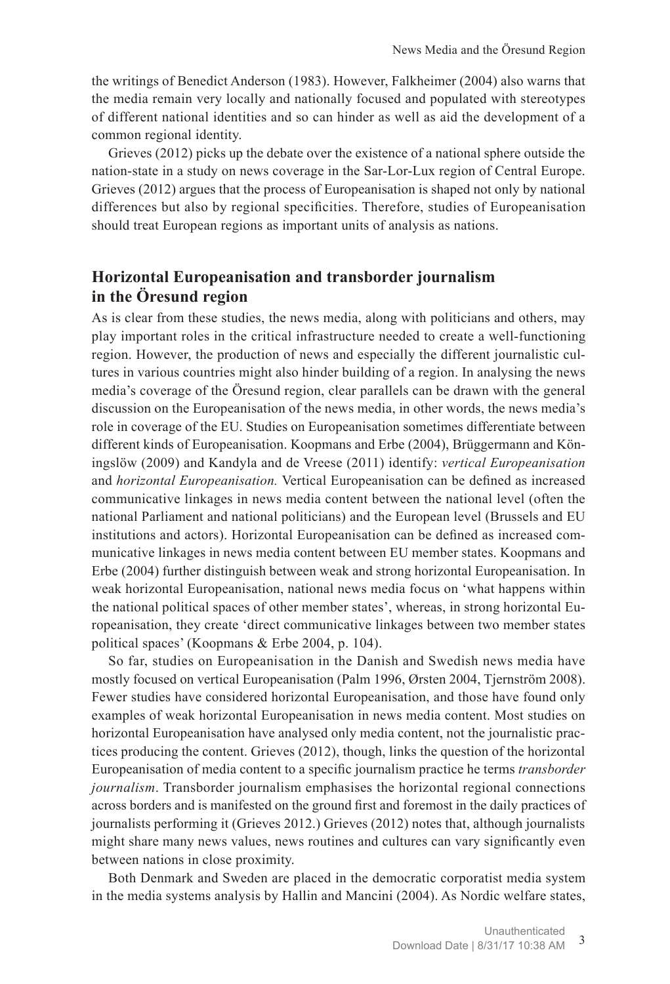the writings of Benedict Anderson (1983). However, Falkheimer (2004) also warns that the media remain very locally and nationally focused and populated with stereotypes of different national identities and so can hinder as well as aid the development of a common regional identity.

Grieves (2012) picks up the debate over the existence of a national sphere outside the nation-state in a study on news coverage in the Sar-Lor-Lux region of Central Europe. Grieves (2012) argues that the process of Europeanisation is shaped not only by national differences but also by regional specificities. Therefore, studies of Europeanisation should treat European regions as important units of analysis as nations.

## **Horizontal Europeanisation and transborder journalism in the Öresund region**

As is clear from these studies, the news media, along with politicians and others, may play important roles in the critical infrastructure needed to create a well-functioning region. However, the production of news and especially the different journalistic cultures in various countries might also hinder building of a region. In analysing the news media's coverage of the Öresund region, clear parallels can be drawn with the general discussion on the Europeanisation of the news media, in other words, the news media's role in coverage of the EU. Studies on Europeanisation sometimes differentiate between different kinds of Europeanisation. Koopmans and Erbe (2004), Brüggermann and Köningslöw (2009) and Kandyla and de Vreese (2011) identify: *vertical Europeanisation* and *horizontal Europeanisation.* Vertical Europeanisation can be defined as increased communicative linkages in news media content between the national level (often the national Parliament and national politicians) and the European level (Brussels and EU institutions and actors). Horizontal Europeanisation can be defined as increased communicative linkages in news media content between EU member states. Koopmans and Erbe (2004) further distinguish between weak and strong horizontal Europeanisation. In weak horizontal Europeanisation, national news media focus on 'what happens within the national political spaces of other member states', whereas, in strong horizontal Europeanisation, they create 'direct communicative linkages between two member states political spaces' (Koopmans & Erbe 2004, p. 104).

So far, studies on Europeanisation in the Danish and Swedish news media have mostly focused on vertical Europeanisation (Palm 1996, Ørsten 2004, Tjernström 2008). Fewer studies have considered horizontal Europeanisation, and those have found only examples of weak horizontal Europeanisation in news media content. Most studies on horizontal Europeanisation have analysed only media content, not the journalistic practices producing the content. Grieves (2012), though, links the question of the horizontal Europeanisation of media content to a specific journalism practice he terms *transborder journalism*. Transborder journalism emphasises the horizontal regional connections across borders and is manifested on the ground first and foremost in the daily practices of journalists performing it (Grieves 2012.) Grieves (2012) notes that, although journalists might share many news values, news routines and cultures can vary significantly even between nations in close proximity.

Both Denmark and Sweden are placed in the democratic corporatist media system in the media systems analysis by Hallin and Mancini (2004). As Nordic welfare states,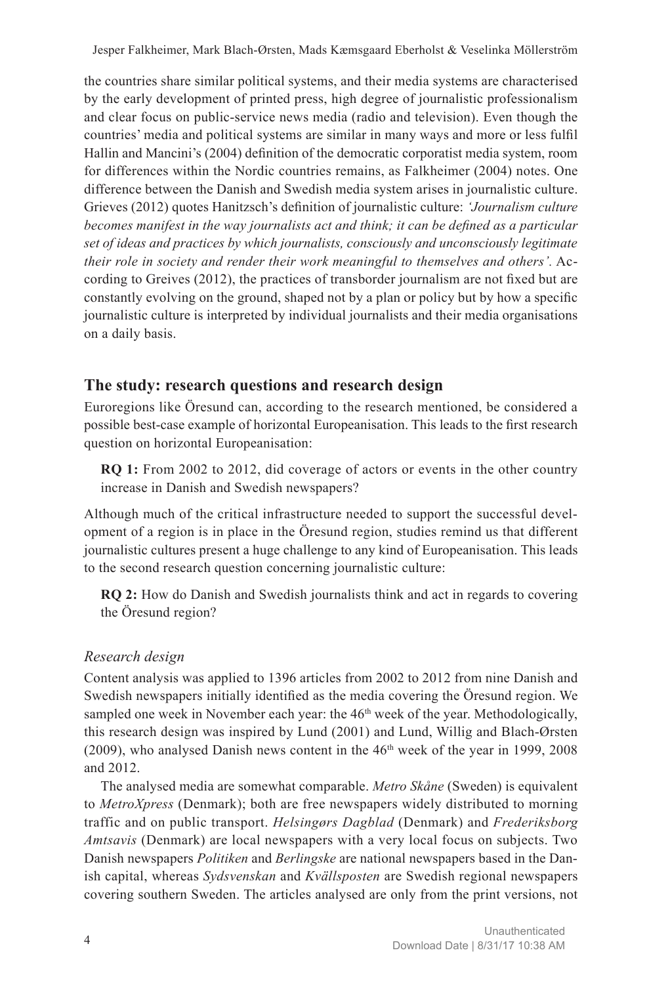the countries share similar political systems, and their media systems are characterised by the early development of printed press, high degree of journalistic professionalism and clear focus on public-service news media (radio and television). Even though the countries' media and political systems are similar in many ways and more or less fulfil Hallin and Mancini's (2004) definition of the democratic corporatist media system, room for differences within the Nordic countries remains, as Falkheimer (2004) notes. One difference between the Danish and Swedish media system arises in journalistic culture. Grieves (2012) quotes Hanitzsch's definition of journalistic culture: *'Journalism culture becomes manifest in the way journalists act and think; it can be defined as a particular set of ideas and practices by which journalists, consciously and unconsciously legitimate their role in society and render their work meaningful to themselves and others'.* According to Greives (2012), the practices of transborder journalism are not fixed but are constantly evolving on the ground, shaped not by a plan or policy but by how a specific journalistic culture is interpreted by individual journalists and their media organisations on a daily basis.

## **The study: research questions and research design**

Euroregions like Öresund can, according to the research mentioned, be considered a possible best-case example of horizontal Europeanisation. This leads to the first research question on horizontal Europeanisation:

**RQ 1:** From 2002 to 2012, did coverage of actors or events in the other country increase in Danish and Swedish newspapers?

Although much of the critical infrastructure needed to support the successful development of a region is in place in the Öresund region, studies remind us that different journalistic cultures present a huge challenge to any kind of Europeanisation. This leads to the second research question concerning journalistic culture:

**RQ 2:** How do Danish and Swedish journalists think and act in regards to covering the Öresund region?

## *Research design*

Content analysis was applied to 1396 articles from 2002 to 2012 from nine Danish and Swedish newspapers initially identified as the media covering the Öresund region. We sampled one week in November each year: the 46<sup>th</sup> week of the year. Methodologically, this research design was inspired by Lund (2001) and Lund, Willig and Blach-Ørsten  $(2009)$ , who analysed Danish news content in the  $46<sup>th</sup>$  week of the year in 1999, 2008 and 2012.

The analysed media are somewhat comparable. *Metro Skåne* (Sweden) is equivalent to *MetroXpress* (Denmark); both are free newspapers widely distributed to morning traffic and on public transport. *Helsingørs Dagblad* (Denmark) and *Frederiksborg Amtsavis* (Denmark) are local newspapers with a very local focus on subjects. Two Danish newspapers *Politiken* and *Berlingske* are national newspapers based in the Danish capital, whereas *Sydsvenskan* and *Kvällsposten* are Swedish regional newspapers covering southern Sweden. The articles analysed are only from the print versions, not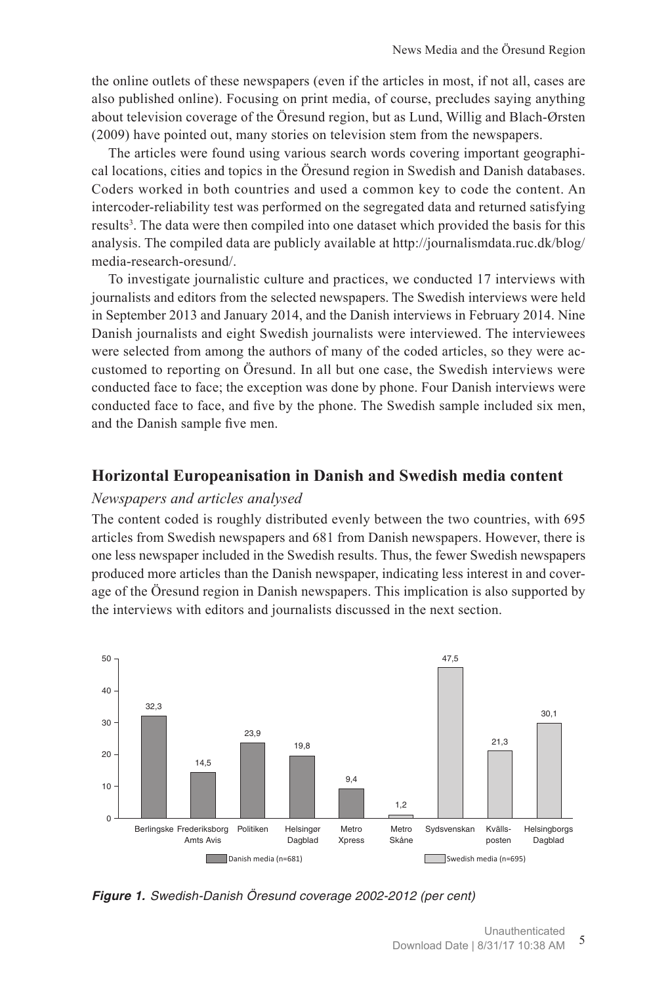the online outlets of these newspapers (even if the articles in most, if not all, cases are also published online). Focusing on print media, of course, precludes saying anything about television coverage of the Öresund region, but as Lund, Willig and Blach-Ørsten (2009) have pointed out, many stories on television stem from the newspapers.

The articles were found using various search words covering important geographical locations, cities and topics in the Öresund region in Swedish and Danish databases. Coders worked in both countries and used a common key to code the content. An intercoder-reliability test was performed on the segregated data and returned satisfying results<sup>3</sup>. The data were then compiled into one dataset which provided the basis for this analysis. The compiled data are publicly available at http://journalismdata.ruc.dk/blog/ media-research-oresund/.

To investigate journalistic culture and practices, we conducted 17 interviews with journalists and editors from the selected newspapers. The Swedish interviews were held in September 2013 and January 2014, and the Danish interviews in February 2014. Nine Danish journalists and eight Swedish journalists were interviewed. The interviewees were selected from among the authors of many of the coded articles, so they were accustomed to reporting on Öresund. In all but one case, the Swedish interviews were conducted face to face; the exception was done by phone. Four Danish interviews were conducted face to face, and five by the phone. The Swedish sample included six men, and the Danish sample five men.

## **Horizontal Europeanisation in Danish and Swedish media content**

#### *Newspapers and articles analysed*

The content coded is roughly distributed evenly between the two countries, with 695 articles from Swedish newspapers and 681 from Danish newspapers. However, there is one less newspaper included in the Swedish results. Thus, the fewer Swedish newspapers produced more articles than the Danish newspaper, indicating less interest in and coverage of the Öresund region in Danish newspapers. This implication is also supported by the interviews with editors and journalists discussed in the next section.



*Figure 1. Swedish-Danish Öresund coverage 2002-2012 (per cent)*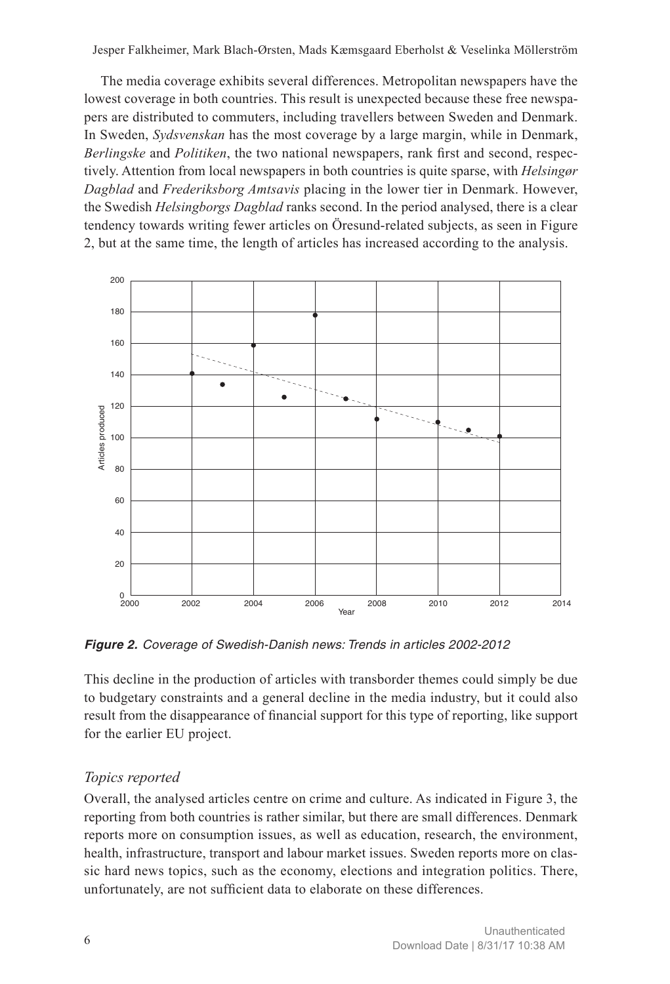The media coverage exhibits several differences. Metropolitan newspapers have the lowest coverage in both countries. This result is unexpected because these free newspapers are distributed to commuters, including travellers between Sweden and Denmark. In Sweden, *Sydsvenskan* has the most coverage by a large margin, while in Denmark, *Berlingske* and *Politiken*, the two national newspapers, rank first and second, respectively. Attention from local newspapers in both countries is quite sparse, with *Helsingør Dagblad* and *Frederiksborg Amtsavis* placing in the lower tier in Denmark. However, the Swedish *Helsingborgs Dagblad* ranks second. In the period analysed, there is a clear tendency towards writing fewer articles on Öresund-related subjects, as seen in Figure 2, but at the same time, the length of articles has increased according to the analysis.



*Figure 2. Coverage of Swedish-Danish news: Trends in articles 2002-2012*

This decline in the production of articles with transborder themes could simply be due to budgetary constraints and a general decline in the media industry, but it could also result from the disappearance of financial support for this type of reporting, like support for the earlier EU project.

## *Topics reported*

Overall, the analysed articles centre on crime and culture. As indicated in Figure 3, the reporting from both countries is rather similar, but there are small differences. Denmark reports more on consumption issues, as well as education, research, the environment, health, infrastructure, transport and labour market issues. Sweden reports more on classic hard news topics, such as the economy, elections and integration politics. There, unfortunately, are not sufficient data to elaborate on these differences.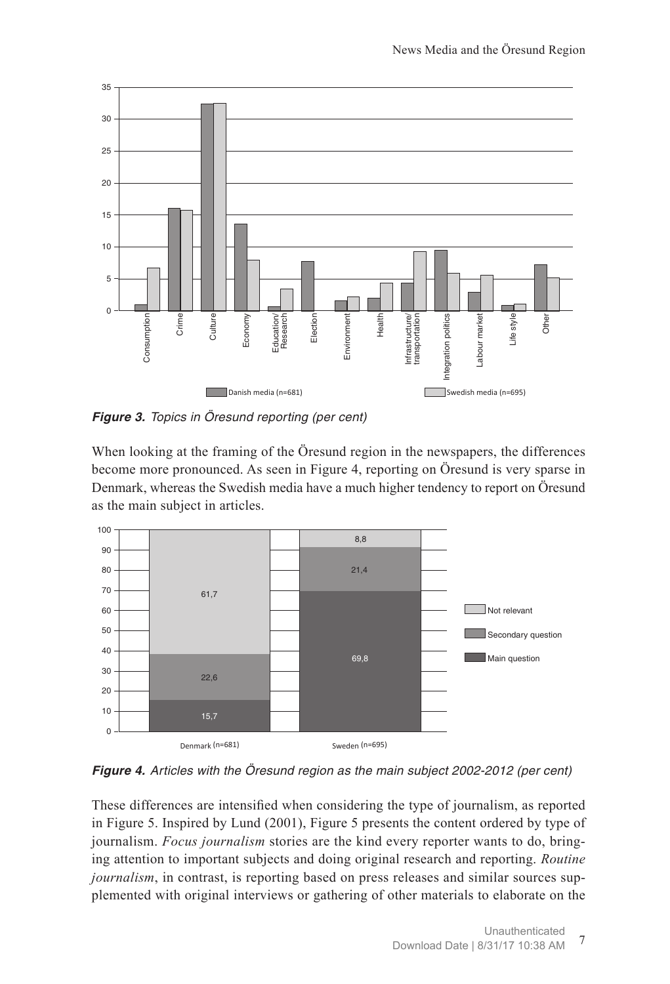

*Figure 3. Topics in Öresund reporting (per cent)*

When looking at the framing of the Öresund region in the newspapers, the differences become more pronounced. As seen in Figure 4, reporting on Öresund is very sparse in Denmark, whereas the Swedish media have a much higher tendency to report on Öresund as the main subject in articles.



*Figure 4. Articles with the Öresund region as the main subject 2002-2012 (per cent)*

These differences are intensified when considering the type of journalism, as reported in Figure 5. Inspired by Lund (2001), Figure 5 presents the content ordered by type of journalism. *Focus journalism* stories are the kind every reporter wants to do, bringing attention to important subjects and doing original research and reporting. *Routine journalism*, in contrast, is reporting based on press releases and similar sources supplemented with original interviews or gathering of other materials to elaborate on the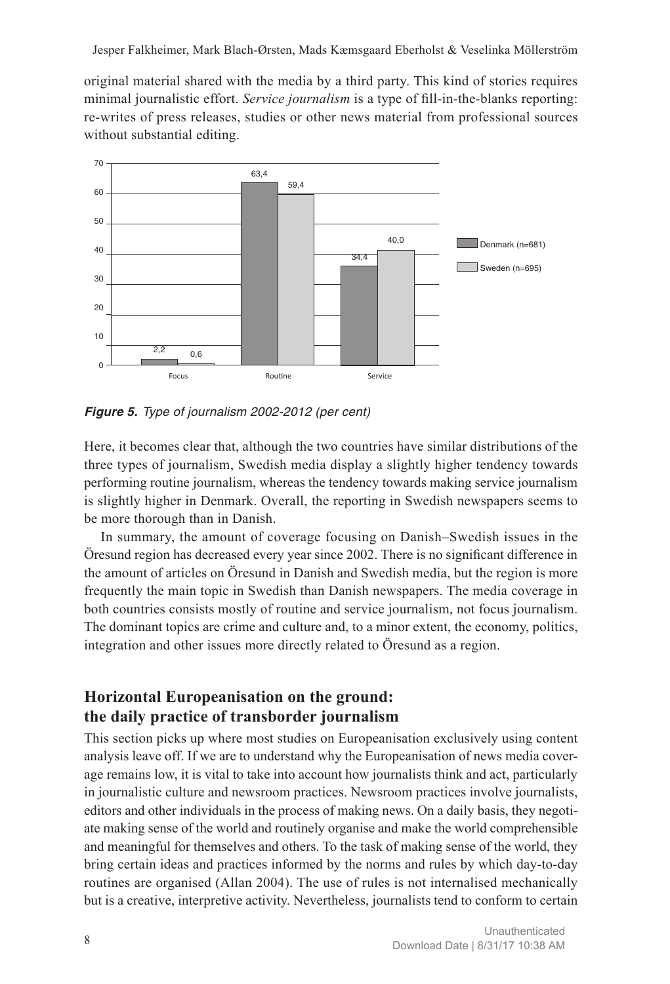original material shared with the media by a third party. This kind of stories requires minimal journalistic effort. *Service journalism* is a type of fill-in-the-blanks reporting: re-writes of press releases, studies or other news material from professional sources without substantial editing.



*Figure 5. Type of journalism 2002-2012 (per cent)*

Here, it becomes clear that, although the two countries have similar distributions of the three types of journalism, Swedish media display a slightly higher tendency towards performing routine journalism, whereas the tendency towards making service journalism is slightly higher in Denmark. Overall, the reporting in Swedish newspapers seems to be more thorough than in Danish.

In summary, the amount of coverage focusing on Danish–Swedish issues in the Öresund region has decreased every year since 2002. There is no significant difference in the amount of articles on Öresund in Danish and Swedish media, but the region is more frequently the main topic in Swedish than Danish newspapers. The media coverage in both countries consists mostly of routine and service journalism, not focus journalism. The dominant topics are crime and culture and, to a minor extent, the economy, politics, integration and other issues more directly related to Öresund as a region.

# **Horizontal Europeanisation on the ground: the daily practice of transborder journalism**

This section picks up where most studies on Europeanisation exclusively using content analysis leave off. If we are to understand why the Europeanisation of news media coverage remains low, it is vital to take into account how journalists think and act, particularly in journalistic culture and newsroom practices. Newsroom practices involve journalists, editors and other individuals in the process of making news. On a daily basis, they negotiate making sense of the world and routinely organise and make the world comprehensible and meaningful for themselves and others. To the task of making sense of the world, they bring certain ideas and practices informed by the norms and rules by which day-to-day routines are organised (Allan 2004). The use of rules is not internalised mechanically but is a creative, interpretive activity. Nevertheless, journalists tend to conform to certain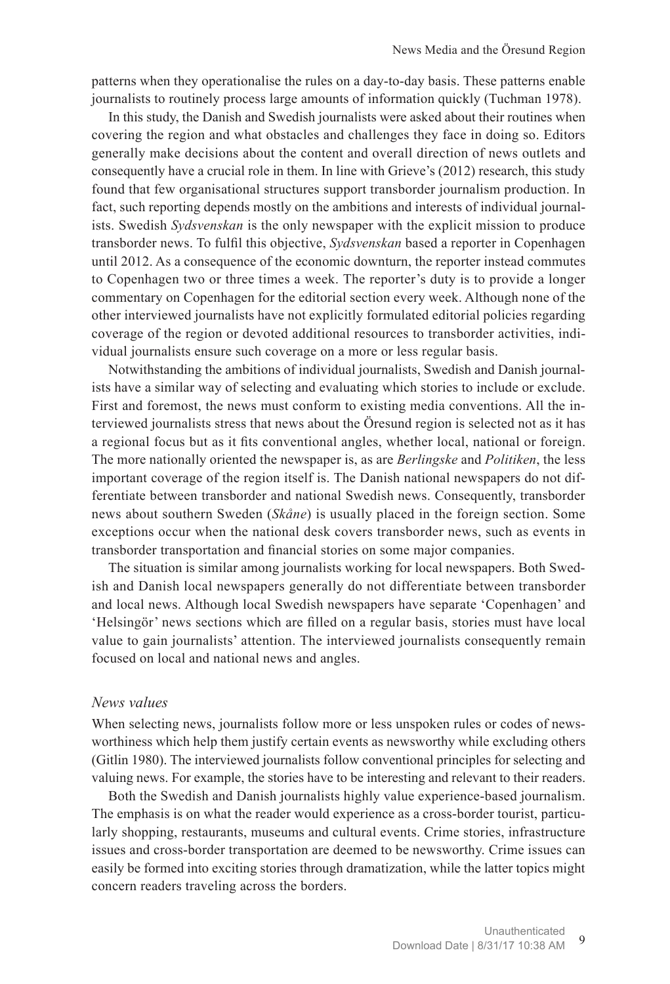patterns when they operationalise the rules on a day-to-day basis. These patterns enable journalists to routinely process large amounts of information quickly (Tuchman 1978).

In this study, the Danish and Swedish journalists were asked about their routines when covering the region and what obstacles and challenges they face in doing so. Editors generally make decisions about the content and overall direction of news outlets and consequently have a crucial role in them. In line with Grieve's (2012) research, this study found that few organisational structures support transborder journalism production. In fact, such reporting depends mostly on the ambitions and interests of individual journalists. Swedish *Sydsvenskan* is the only newspaper with the explicit mission to produce transborder news. To fulfil this objective, *Sydsvenskan* based a reporter in Copenhagen until 2012. As a consequence of the economic downturn, the reporter instead commutes to Copenhagen two or three times a week. The reporter's duty is to provide a longer commentary on Copenhagen for the editorial section every week. Although none of the other interviewed journalists have not explicitly formulated editorial policies regarding coverage of the region or devoted additional resources to transborder activities, individual journalists ensure such coverage on a more or less regular basis.

Notwithstanding the ambitions of individual journalists, Swedish and Danish journalists have a similar way of selecting and evaluating which stories to include or exclude. First and foremost, the news must conform to existing media conventions. All the interviewed journalists stress that news about the Öresund region is selected not as it has a regional focus but as it fits conventional angles, whether local, national or foreign. The more nationally oriented the newspaper is, as are *Berlingske* and *Politiken*, the less important coverage of the region itself is. The Danish national newspapers do not differentiate between transborder and national Swedish news. Consequently, transborder news about southern Sweden (*Skåne*) is usually placed in the foreign section. Some exceptions occur when the national desk covers transborder news, such as events in transborder transportation and financial stories on some major companies.

The situation is similar among journalists working for local newspapers. Both Swedish and Danish local newspapers generally do not differentiate between transborder and local news. Although local Swedish newspapers have separate 'Copenhagen' and 'Helsingör' news sections which are filled on a regular basis, stories must have local value to gain journalists' attention. The interviewed journalists consequently remain focused on local and national news and angles.

## *News values*

When selecting news, journalists follow more or less unspoken rules or codes of newsworthiness which help them justify certain events as newsworthy while excluding others (Gitlin 1980). The interviewed journalists follow conventional principles for selecting and valuing news. For example, the stories have to be interesting and relevant to their readers.

Both the Swedish and Danish journalists highly value experience-based journalism. The emphasis is on what the reader would experience as a cross-border tourist, particularly shopping, restaurants, museums and cultural events. Crime stories, infrastructure issues and cross-border transportation are deemed to be newsworthy. Crime issues can easily be formed into exciting stories through dramatization, while the latter topics might concern readers traveling across the borders.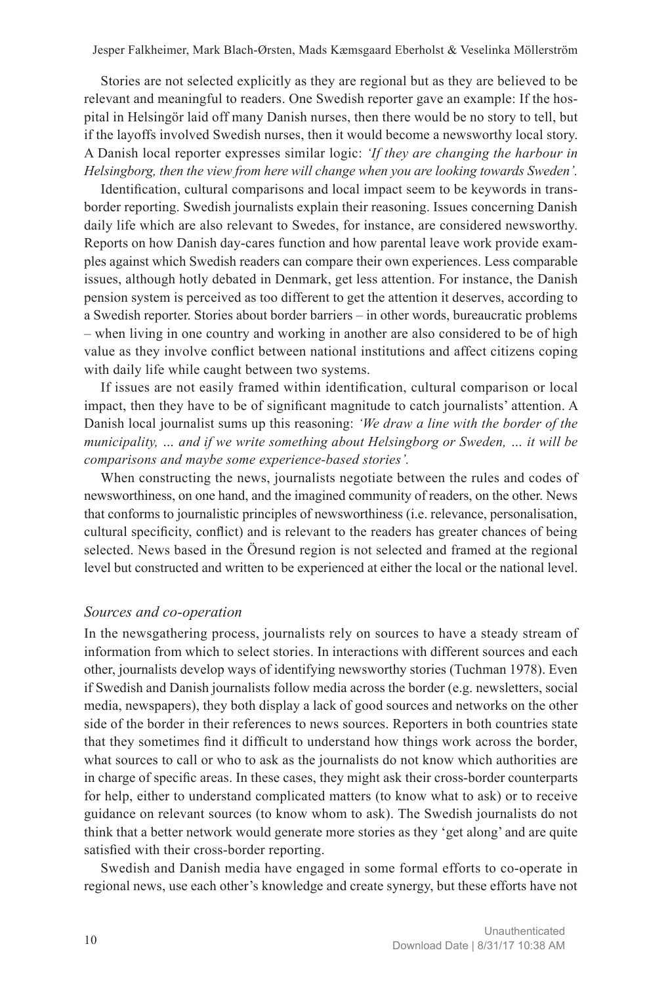Stories are not selected explicitly as they are regional but as they are believed to be relevant and meaningful to readers. One Swedish reporter gave an example: If the hospital in Helsingör laid off many Danish nurses, then there would be no story to tell, but if the layoffs involved Swedish nurses, then it would become a newsworthy local story. A Danish local reporter expresses similar logic: *'If they are changing the harbour in Helsingborg, then the view from here will change when you are looking towards Sweden'.* 

Identification, cultural comparisons and local impact seem to be keywords in transborder reporting. Swedish journalists explain their reasoning. Issues concerning Danish daily life which are also relevant to Swedes, for instance, are considered newsworthy. Reports on how Danish day-cares function and how parental leave work provide examples against which Swedish readers can compare their own experiences. Less comparable issues, although hotly debated in Denmark, get less attention. For instance, the Danish pension system is perceived as too different to get the attention it deserves, according to a Swedish reporter. Stories about border barriers – in other words, bureaucratic problems – when living in one country and working in another are also considered to be of high value as they involve conflict between national institutions and affect citizens coping with daily life while caught between two systems.

If issues are not easily framed within identification, cultural comparison or local impact, then they have to be of significant magnitude to catch journalists' attention. A Danish local journalist sums up this reasoning: *'We draw a line with the border of the municipality, … and if we write something about Helsingborg or Sweden, … it will be comparisons and maybe some experience-based stories'.*

When constructing the news, journalists negotiate between the rules and codes of newsworthiness, on one hand, and the imagined community of readers, on the other. News that conforms to journalistic principles of newsworthiness (i.e. relevance, personalisation, cultural specificity, conflict) and is relevant to the readers has greater chances of being selected. News based in the Öresund region is not selected and framed at the regional level but constructed and written to be experienced at either the local or the national level.

## *Sources and co-operation*

In the newsgathering process, journalists rely on sources to have a steady stream of information from which to select stories. In interactions with different sources and each other, journalists develop ways of identifying newsworthy stories (Tuchman 1978). Even if Swedish and Danish journalists follow media across the border (e.g. newsletters, social media, newspapers), they both display a lack of good sources and networks on the other side of the border in their references to news sources. Reporters in both countries state that they sometimes find it difficult to understand how things work across the border, what sources to call or who to ask as the journalists do not know which authorities are in charge of specific areas. In these cases, they might ask their cross-border counterparts for help, either to understand complicated matters (to know what to ask) or to receive guidance on relevant sources (to know whom to ask). The Swedish journalists do not think that a better network would generate more stories as they 'get along' and are quite satisfied with their cross-border reporting.

Swedish and Danish media have engaged in some formal efforts to co-operate in regional news, use each other's knowledge and create synergy, but these efforts have not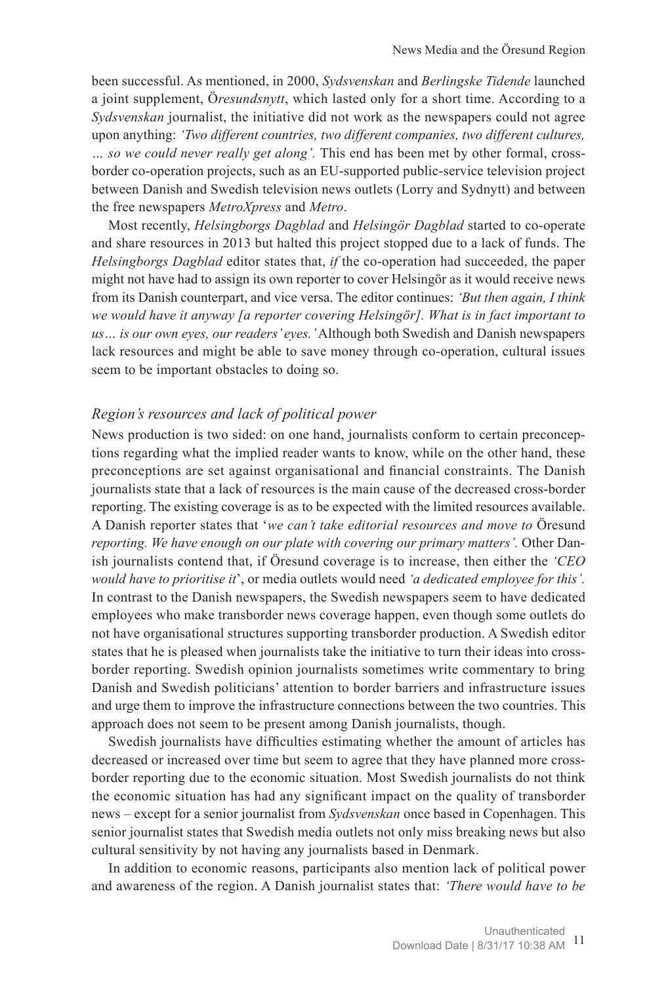been successful. As mentioned, in 2000, *Sydsvenskan* and *Berlingske Tidende* launched a joint supplement, Ö*resundsnytt*, which lasted only for a short time. According to a *Sydsvenskan* journalist, the initiative did not work as the newspapers could not agree upon anything: *'Two different countries, two different companies, two different cultures, … so we could never really get along'.* This end has been met by other formal, crossborder co-operation projects, such as an EU-supported public-service television project between Danish and Swedish television news outlets (Lorry and Sydnytt) and between the free newspapers *MetroXpress* and *Metro*.

Most recently, *Helsingborgs Dagblad* and *Helsingör Dagblad* started to co-operate and share resources in 2013 but halted this project stopped due to a lack of funds. The *Helsingborgs Dagblad* editor states that, *if* the co-operation had succeeded, the paper might not have had to assign its own reporter to cover Helsingör as it would receive news from its Danish counterpart, and vice versa. The editor continues: *'But then again, I think we would have it anyway [a reporter covering Helsingör]. What is in fact important to us… is our own eyes, our readers' eyes.'* Although both Swedish and Danish newspapers lack resources and might be able to save money through co-operation, cultural issues seem to be important obstacles to doing so.

## *Region's resources and lack of political power*

News production is two sided: on one hand, journalists conform to certain preconceptions regarding what the implied reader wants to know, while on the other hand, these preconceptions are set against organisational and financial constraints. The Danish journalists state that a lack of resources is the main cause of the decreased cross-border reporting. The existing coverage is as to be expected with the limited resources available. A Danish reporter states that '*we can't take editorial resources and move to* Öresund *reporting. We have enough on our plate with covering our primary matters'.* Other Danish journalists contend that, if Öresund coverage is to increase, then either the *'CEO would have to prioritise it*', or media outlets would need *'a dedicated employee for this'.* In contrast to the Danish newspapers, the Swedish newspapers seem to have dedicated employees who make transborder news coverage happen, even though some outlets do not have organisational structures supporting transborder production. A Swedish editor states that he is pleased when journalists take the initiative to turn their ideas into crossborder reporting. Swedish opinion journalists sometimes write commentary to bring Danish and Swedish politicians' attention to border barriers and infrastructure issues and urge them to improve the infrastructure connections between the two countries. This approach does not seem to be present among Danish journalists, though.

Swedish journalists have difficulties estimating whether the amount of articles has decreased or increased over time but seem to agree that they have planned more crossborder reporting due to the economic situation. Most Swedish journalists do not think the economic situation has had any significant impact on the quality of transborder news – except for a senior journalist from *Sydsvenskan* once based in Copenhagen. This senior journalist states that Swedish media outlets not only miss breaking news but also cultural sensitivity by not having any journalists based in Denmark.

In addition to economic reasons, participants also mention lack of political power and awareness of the region. A Danish journalist states that: *'There would have to be*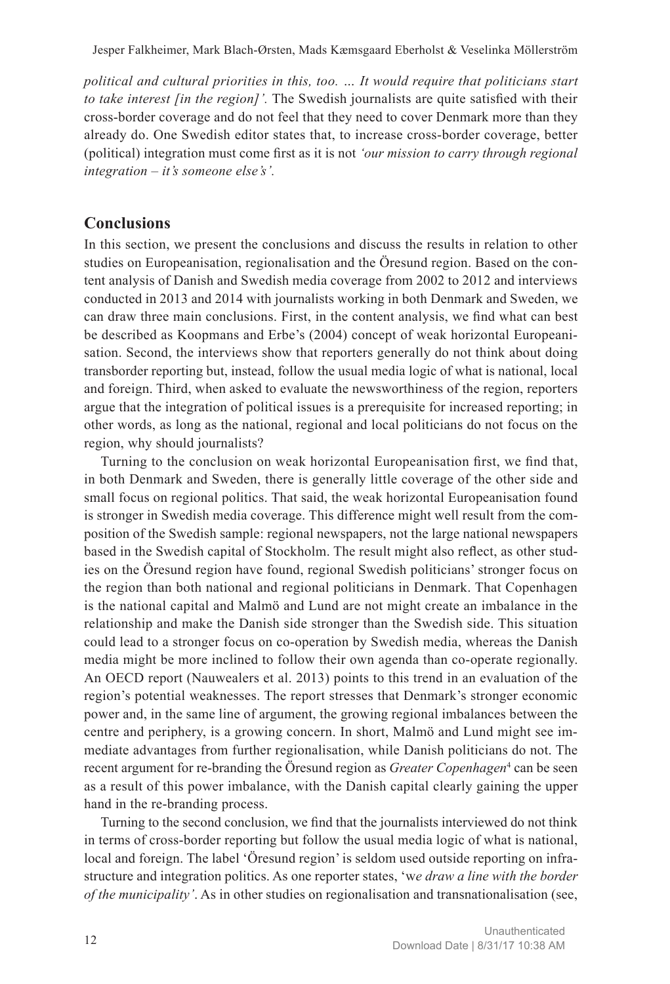*political and cultural priorities in this, too. … It would require that politicians start to take interest [in the region]'.* The Swedish journalists are quite satisfied with their cross-border coverage and do not feel that they need to cover Denmark more than they already do. One Swedish editor states that, to increase cross-border coverage, better (political) integration must come first as it is not *'our mission to carry through regional integration – it's someone else's'.*

## **Conclusions**

In this section, we present the conclusions and discuss the results in relation to other studies on Europeanisation, regionalisation and the Öresund region. Based on the content analysis of Danish and Swedish media coverage from 2002 to 2012 and interviews conducted in 2013 and 2014 with journalists working in both Denmark and Sweden, we can draw three main conclusions. First, in the content analysis, we find what can best be described as Koopmans and Erbe's (2004) concept of weak horizontal Europeanisation. Second, the interviews show that reporters generally do not think about doing transborder reporting but, instead, follow the usual media logic of what is national, local and foreign. Third, when asked to evaluate the newsworthiness of the region, reporters argue that the integration of political issues is a prerequisite for increased reporting; in other words, as long as the national, regional and local politicians do not focus on the region, why should journalists?

Turning to the conclusion on weak horizontal Europeanisation first, we find that, in both Denmark and Sweden, there is generally little coverage of the other side and small focus on regional politics. That said, the weak horizontal Europeanisation found is stronger in Swedish media coverage. This difference might well result from the composition of the Swedish sample: regional newspapers, not the large national newspapers based in the Swedish capital of Stockholm. The result might also reflect, as other studies on the Öresund region have found, regional Swedish politicians' stronger focus on the region than both national and regional politicians in Denmark. That Copenhagen is the national capital and Malmö and Lund are not might create an imbalance in the relationship and make the Danish side stronger than the Swedish side. This situation could lead to a stronger focus on co-operation by Swedish media, whereas the Danish media might be more inclined to follow their own agenda than co-operate regionally. An OECD report (Nauwealers et al. 2013) points to this trend in an evaluation of the region's potential weaknesses. The report stresses that Denmark's stronger economic power and, in the same line of argument, the growing regional imbalances between the centre and periphery, is a growing concern. In short, Malmö and Lund might see immediate advantages from further regionalisation, while Danish politicians do not. The recent argument for re-branding the Öresund region as *Greater Copenhagen*<sup>4</sup> can be seen as a result of this power imbalance, with the Danish capital clearly gaining the upper hand in the re-branding process.

Turning to the second conclusion, we find that the journalists interviewed do not think in terms of cross-border reporting but follow the usual media logic of what is national, local and foreign. The label 'Öresund region' is seldom used outside reporting on infrastructure and integration politics. As one reporter states, 'w*e draw a line with the border of the municipality'*. As in other studies on regionalisation and transnationalisation (see,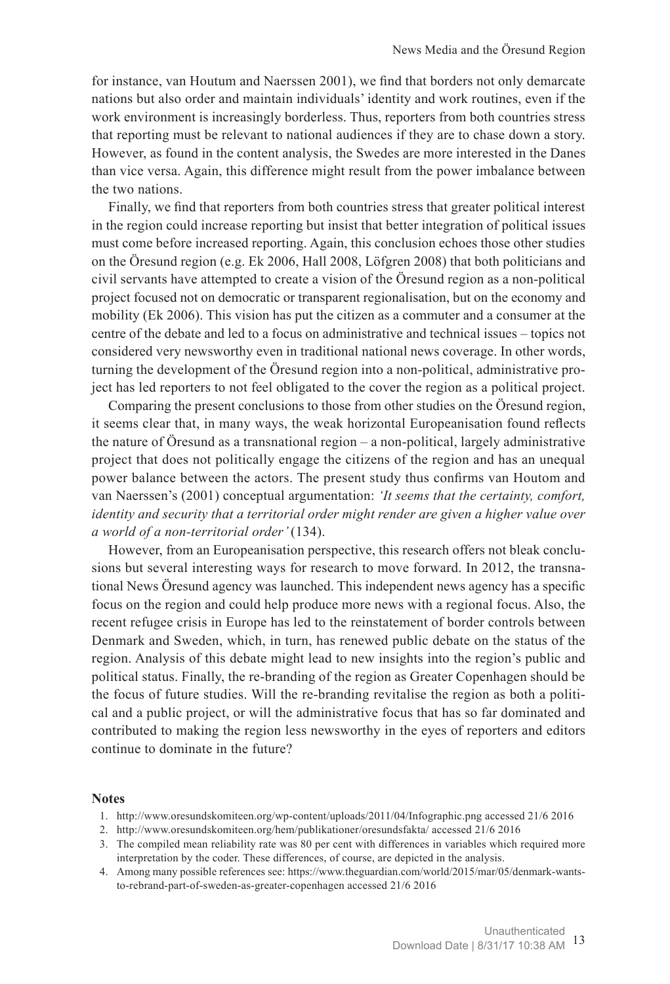for instance, van Houtum and Naerssen 2001), we find that borders not only demarcate nations but also order and maintain individuals' identity and work routines, even if the work environment is increasingly borderless. Thus, reporters from both countries stress that reporting must be relevant to national audiences if they are to chase down a story. However, as found in the content analysis, the Swedes are more interested in the Danes than vice versa. Again, this difference might result from the power imbalance between the two nations.

Finally, we find that reporters from both countries stress that greater political interest in the region could increase reporting but insist that better integration of political issues must come before increased reporting. Again, this conclusion echoes those other studies on the Öresund region (e.g. Ek 2006, Hall 2008, Löfgren 2008) that both politicians and civil servants have attempted to create a vision of the Öresund region as a non-political project focused not on democratic or transparent regionalisation, but on the economy and mobility (Ek 2006). This vision has put the citizen as a commuter and a consumer at the centre of the debate and led to a focus on administrative and technical issues – topics not considered very newsworthy even in traditional national news coverage. In other words, turning the development of the Öresund region into a non-political, administrative project has led reporters to not feel obligated to the cover the region as a political project.

Comparing the present conclusions to those from other studies on the Öresund region, it seems clear that, in many ways, the weak horizontal Europeanisation found reflects the nature of Öresund as a transnational region – a non-political, largely administrative project that does not politically engage the citizens of the region and has an unequal power balance between the actors. The present study thus confirms van Houtom and van Naerssen's (2001) conceptual argumentation: *'It seems that the certainty, comfort, identity and security that a territorial order might render are given a higher value over a world of a non-territorial order'* (134).

However, from an Europeanisation perspective, this research offers not bleak conclusions but several interesting ways for research to move forward. In 2012, the transnational News Öresund agency was launched. This independent news agency has a specific focus on the region and could help produce more news with a regional focus. Also, the recent refugee crisis in Europe has led to the reinstatement of border controls between Denmark and Sweden, which, in turn, has renewed public debate on the status of the region. Analysis of this debate might lead to new insights into the region's public and political status. Finally, the re-branding of the region as Greater Copenhagen should be the focus of future studies. Will the re-branding revitalise the region as both a political and a public project, or will the administrative focus that has so far dominated and contributed to making the region less newsworthy in the eyes of reporters and editors continue to dominate in the future?

#### **Notes**

- 1. http://www.oresundskomiteen.org/wp-content/uploads/2011/04/Infographic.png accessed 21/6 2016
- 2. http://www.oresundskomiteen.org/hem/publikationer/oresundsfakta/ accessed 21/6 2016
- 3. The compiled mean reliability rate was 80 per cent with differences in variables which required more interpretation by the coder. These differences, of course, are depicted in the analysis.
- 4. Among many possible references see: https://www.theguardian.com/world/2015/mar/05/denmark-wantsto-rebrand-part-of-sweden-as-greater-copenhagen accessed 21/6 2016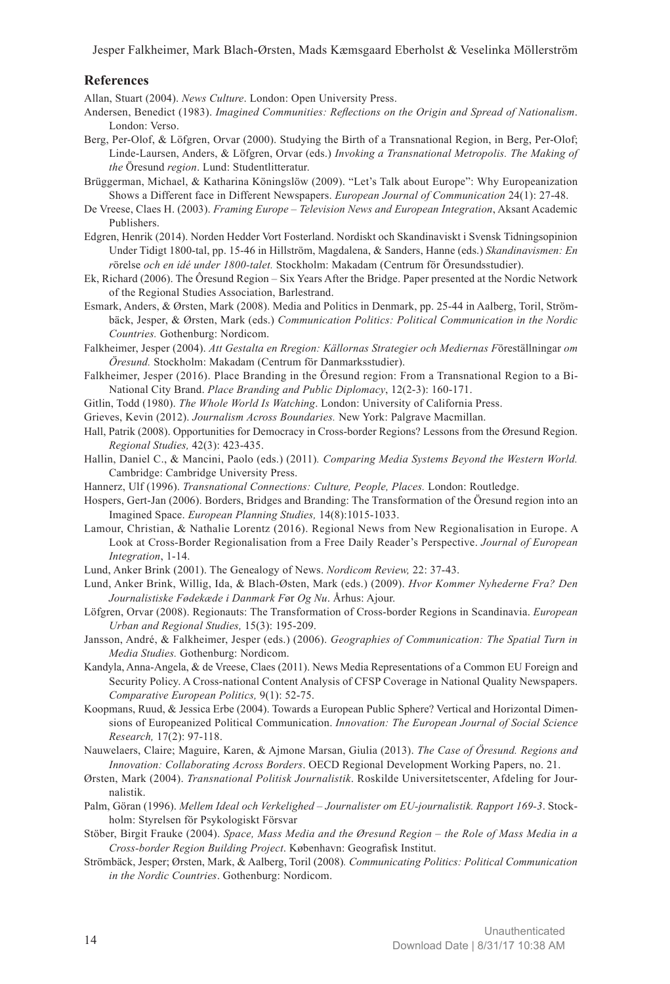#### **References**

Allan, Stuart (2004). *News Culture*. London: Open University Press.

- Andersen, Benedict (1983). *Imagined Communities: Reflections on the Origin and Spread of Nationalism*. London: Verso.
- Berg, Per-Olof, & Löfgren, Orvar (2000). Studying the Birth of a Transnational Region, in Berg, Per-Olof; Linde-Laursen, Anders, & Löfgren, Orvar (eds.) *Invoking a Transnational Metropolis. The Making of the* Öresund *region*. Lund: Studentlitteratur.
- Brüggerman, Michael, & Katharina Köningslöw (2009). "Let's Talk about Europe": Why Europeanization Shows a Different face in Different Newspapers. *European Journal of Communication* 24(1): 27-48.
- De Vreese, Claes H. (2003). *Framing Europe Television News and European Integration*, Aksant Academic Publishers.
- Edgren, Henrik (2014). Norden Hedder Vort Fosterland. Nordiskt och Skandinaviskt i Svensk Tidningsopinion Under Tidigt 1800-tal, pp. 15-46 in Hillström, Magdalena, & Sanders, Hanne (eds.) *Skandinavismen: En r*örelse *och en idé under 1800-talet.* Stockholm: Makadam (Centrum för Öresundsstudier).
- Ek, Richard (2006). The Ôresund Region Six Years After the Bridge. Paper presented at the Nordic Network of the Regional Studies Association, Barlestrand.
- Esmark, Anders, & Ørsten, Mark (2008). Media and Politics in Denmark, pp. 25-44 in Aalberg, Toril, Strömbäck, Jesper, & Ørsten, Mark (eds.) *Communication Politics: Political Communication in the Nordic Countries.* Gothenburg: Nordicom.
- Falkheimer, Jesper (2004). *Att Gestalta en Rregion: Källornas Strategier och Mediernas F*öreställningar *om Öresund.* Stockholm: Makadam (Centrum för Danmarksstudier).
- Falkheimer, Jesper (2016). Place Branding in the Öresund region: From a Transnational Region to a Bi-National City Brand. *Place Branding and Public Diplomacy*, 12(2-3): 160-171.
- Gitlin, Todd (1980). *The Whole World Is Watching*. London: University of California Press.
- Grieves, Kevin (2012). *Journalism Across Boundaries.* New York: Palgrave Macmillan.
- Hall, Patrik (2008). Opportunities for Democracy in Cross-border Regions? Lessons from the Øresund Region. *Regional Studies,* 42(3): 423-435.
- Hallin, Daniel C., & Mancini, Paolo (eds.) (2011)*. Comparing Media Systems Beyond the Western World.* Cambridge: Cambridge University Press.
- Hannerz, Ulf (1996). *Transnational Connections: Culture, People, Places.* London: Routledge.
- Hospers, Gert-Jan (2006). Borders, Bridges and Branding: The Transformation of the Öresund region into an Imagined Space. *European Planning Studies,* 14(8):1015-1033.
- Lamour, Christian, & Nathalie Lorentz (2016). Regional News from New Regionalisation in Europe. A Look at Cross-Border Regionalisation from a Free Daily Reader's Perspective. *Journal of European Integration*, 1-14.
- Lund, Anker Brink (2001). The Genealogy of News. *Nordicom Review,* 22: 37-43.
- Lund, Anker Brink, Willig, Ida, & Blach-Østen, Mark (eds.) (2009). *Hvor Kommer Nyhederne Fra? Den Journalistiske Fødekæde i Danmark F*ør *Og Nu*. Århus: Ajour.
- Löfgren, Orvar (2008). Regionauts: The Transformation of Cross-border Regions in Scandinavia. *European Urban and Regional Studies,* 15(3): 195-209.
- Jansson, André, & Falkheimer, Jesper (eds.) (2006). *Geographies of Communication: The Spatial Turn in Media Studies.* Gothenburg: Nordicom.
- Kandyla, Anna-Angela, & de Vreese, Claes (2011). News Media Representations of a Common EU Foreign and Security Policy. A Cross-national Content Analysis of CFSP Coverage in National Quality Newspapers. *Comparative European Politics,* 9(1): 52-75.
- Koopmans, Ruud, & Jessica Erbe (2004). Towards a European Public Sphere? Vertical and Horizontal Dimensions of Europeanized Political Communication. *Innovation: The European Journal of Social Science Research,* 17(2): 97-118.
- Nauwelaers, Claire; Maguire, Karen, & Ajmone Marsan, Giulia (2013). *The Case of Öresund. Regions and Innovation: Collaborating Across Borders*. OECD Regional Development Working Papers, no. 21.
- Ørsten, Mark (2004). *Transnational Politisk Journalistik*. Roskilde Universitetscenter, Afdeling for Journalistik.
- Palm, Göran (1996). *Mellem Ideal och Verkelighed Journalister om EU-journalistik. Rapport 169-3*. Stockholm: Styrelsen för Psykologiskt Försvar
- Stöber, Birgit Frauke (2004). *Space, Mass Media and the Øresund Region the Role of Mass Media in a Cross-border Region Building Project*. København: Geografisk Institut.
- Strömbäck, Jesper; Ørsten, Mark, & Aalberg, Toril (2008)*. Communicating Politics: Political Communication in the Nordic Countries*. Gothenburg: Nordicom.